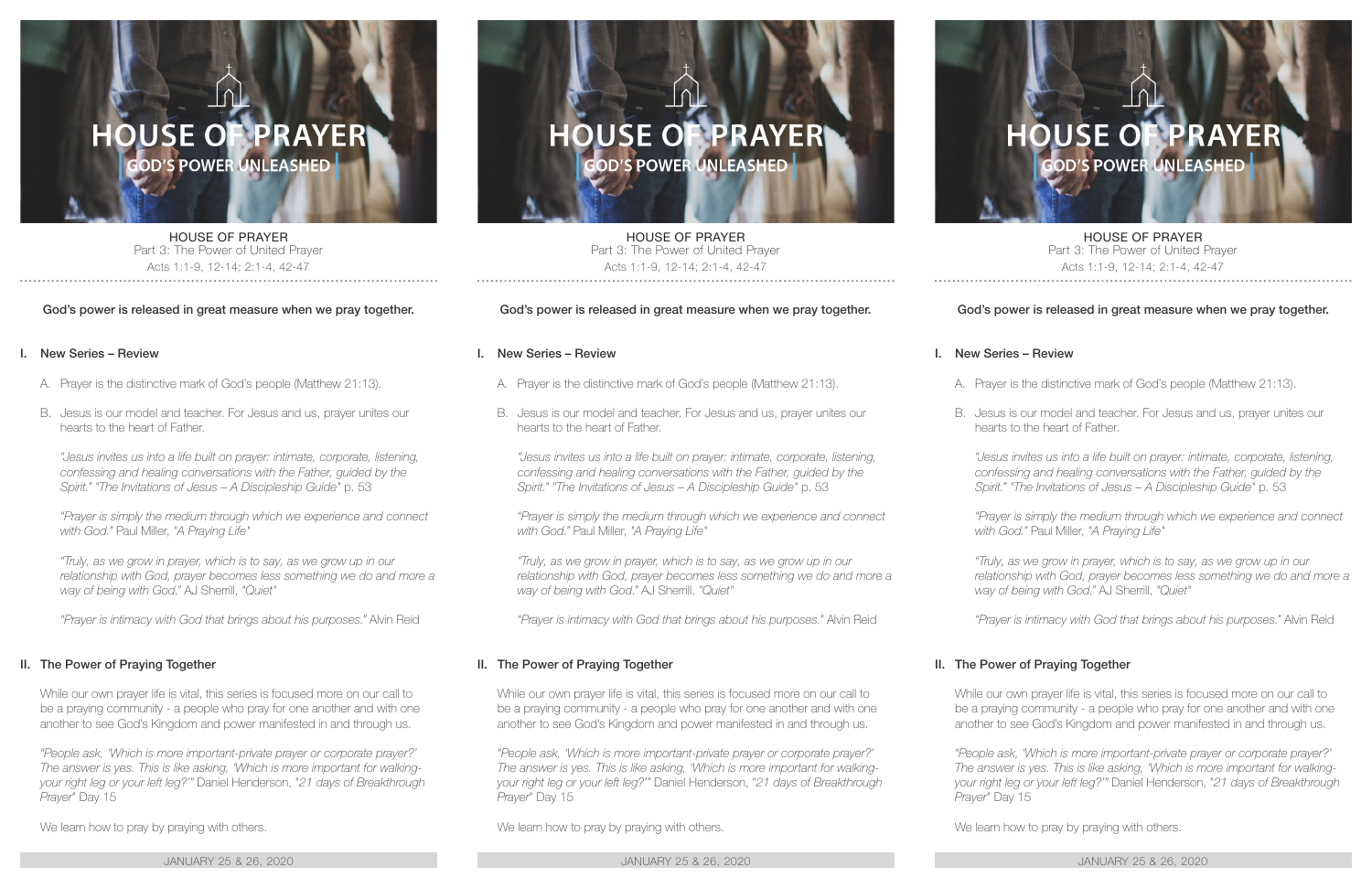

HOUSE OF PRAYER Part 3: The Power of United Prayer Acts 1:1-9, 12-14; 2:1-4, 42-47

#### God's power is released in great measure when we pray together.

#### I. New Series – Review

- A. Prayer is the distinctive mark of God's people (Matthew 21:13).
- B. Jesus is our model and teacher. For Jesus and us, prayer unites our hearts to the heart of Father.

*"Jesus invites us into a life built on prayer: intimate, corporate, listening, confessing and healing conversations with the Father, guided by the Spirit." "The Invitations of Jesus – A Discipleship Guide"* p. 53

*"Prayer is simply the medium through which we experience and connect with God."* Paul Miller, *"A Praying Life"*

*"Truly, as we grow in prayer, which is to say, as we grow up in our*  relationship with God, prayer becomes less something we do and more a *way of being with God."* AJ Sherrill, *"Quiet"*

*"Prayer is intimacy with God that brings about his purposes."* Alvin Reid

#### II. The Power of Praying Together

While our own prayer life is vital, this series is focused more on our call to be a praying community - a people who pray for one another and with one another to see God's Kingdom and power manifested in and through us.

*"People ask, 'Which is more important-private prayer or corporate prayer?' The answer is yes. This is like asking, 'Which is more important for walkingyour right leg or your left leg?'"* Daniel Henderson, "*21 days of Breakthrough Prayer*" Day 15

We learn how to pray by praying with others.

JANUARY 25 & 26, 2020 JANUARY 25 & 26, 2020 JANUARY 25 & 26, 2020